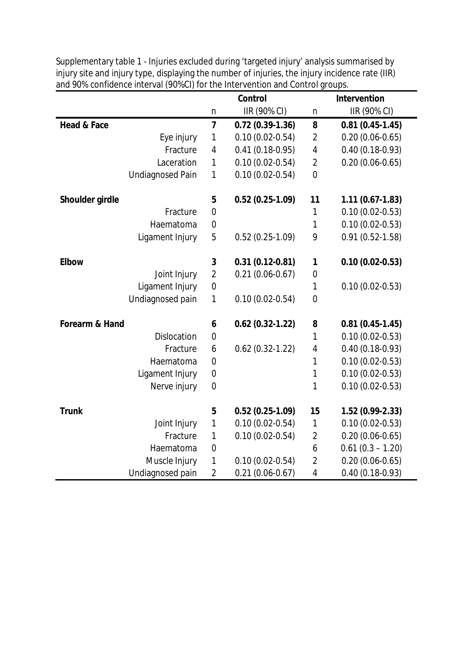|                           | <b>Control</b><br><b>Intervention</b> |                     |                |                     |
|---------------------------|---------------------------------------|---------------------|----------------|---------------------|
|                           | n                                     | IIR (90% CI)        | $\mathsf{n}$   | IIR (90% CI)        |
| <b>Head &amp; Face</b>    | $\overline{\mathbf{z}}$               | $0.72(0.39-1.36)$   | 8              | $0.81(0.45-1.45)$   |
| Eye injury                | $\mathbf{1}$                          | $0.10(0.02 - 0.54)$ | $\overline{2}$ | $0.20(0.06 - 0.65)$ |
| Fracture                  | 4                                     | $0.41(0.18-0.95)$   | 4              | $0.40(0.18-0.93)$   |
| Laceration                | $\mathbf{1}$                          | $0.10(0.02 - 0.54)$ | $\overline{2}$ | $0.20(0.06 - 0.65)$ |
| <b>Undiagnosed Pain</b>   | $\mathbf{1}$                          | $0.10(0.02 - 0.54)$ | $\overline{0}$ |                     |
| Shoulder girdle           | 5                                     | $0.52(0.25-1.09)$   | 11             | $1.11(0.67-1.83)$   |
| Fracture                  | $\overline{0}$                        |                     | 1              | $0.10(0.02 - 0.53)$ |
| Haematoma                 | $\mathbf 0$                           |                     | 1              | $0.10(0.02 - 0.53)$ |
| Ligament Injury           | 5                                     | $0.52(0.25-1.09)$   | 9              | $0.91(0.52 - 1.58)$ |
| <b>Elbow</b>              | 3                                     | $0.31(0.12-0.81)$   | 1              | $0.10(0.02-0.53)$   |
| Joint Injury              | $\overline{2}$                        | $0.21(0.06 - 0.67)$ | $\mathbf 0$    |                     |
| Ligament Injury           | $\mathbf 0$                           |                     | 1              | $0.10(0.02 - 0.53)$ |
| Undiagnosed pain          | 1                                     | $0.10(0.02 - 0.54)$ | $\mathbf 0$    |                     |
| <b>Forearm &amp; Hand</b> |                                       | $0.62(0.32-1.22)$   | 8              | $0.81(0.45-1.45)$   |
| <b>Dislocation</b>        | $\overline{0}$                        |                     | 1              | $0.10(0.02 - 0.53)$ |
| Fracture                  | 6                                     | $0.62(0.32 - 1.22)$ | $\pmb{4}$      | $0.40(0.18-0.93)$   |
| Haematoma                 | $\mathbf 0$                           |                     | 1              | $0.10(0.02 - 0.53)$ |
| Ligament Injury           | $\boldsymbol{0}$                      |                     | $\mathbf 1$    | $0.10(0.02 - 0.53)$ |
| Nerve injury              | $\mathbf 0$                           |                     | 1              | $0.10(0.02 - 0.53)$ |
| <b>Trunk</b>              | 5                                     | $0.52(0.25-1.09)$   | 15             | 1.52 (0.99-2.33)    |
| Joint Injury              | 1                                     | $0.10(0.02 - 0.54)$ | $\mathbf 1$    | $0.10(0.02 - 0.53)$ |
| Fracture                  | $\mathbf{1}$                          | $0.10(0.02 - 0.54)$ | $\overline{2}$ | $0.20(0.06 - 0.65)$ |
| Haematoma                 | $\boldsymbol{0}$                      |                     | 6              | $0.61(0.3 - 1.20)$  |
| Muscle Injury             | 1                                     | $0.10(0.02 - 0.54)$ | $\overline{2}$ | $0.20(0.06 - 0.65)$ |
| Undiagnosed pain          | $\overline{2}$                        | $0.21(0.06 - 0.67)$ | 4              | $0.40(0.18-0.93)$   |

Supplementary table 1 - Injuries excluded during 'targeted injury' analysis summarised by injury site and injury type, displaying the number of injuries, the injury incidence rate (IIR) and 90% confidence interval (90%CI) for the Intervention and Control groups.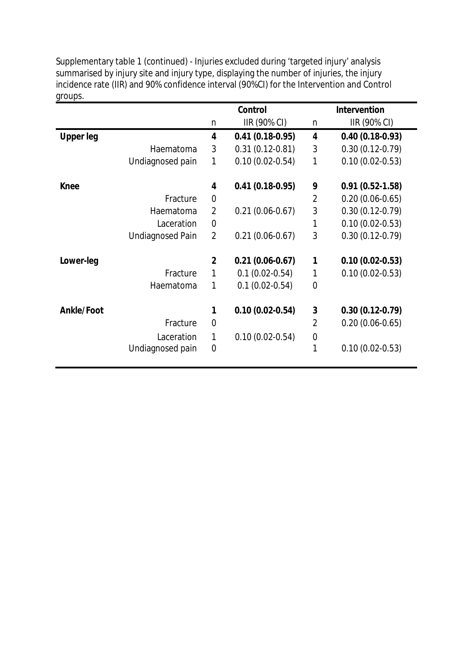|                   |                         |                | <b>Control</b>      |                         | <b>Intervention</b> |
|-------------------|-------------------------|----------------|---------------------|-------------------------|---------------------|
|                   |                         | n              | IIR (90% CI)        | n                       | IIR (90% CI)        |
| <b>Upper leg</b>  |                         | 4              | $0.41(0.18-0.95)$   | $\overline{\mathbf{4}}$ | $0.40(0.18-0.93)$   |
|                   | Haematoma               | 3              | $0.31(0.12 - 0.81)$ | 3                       | $0.30(0.12-0.79)$   |
|                   | Undiagnosed pain        | 1              | $0.10(0.02 - 0.54)$ | 1                       | $0.10(0.02 - 0.53)$ |
| <b>Knee</b>       |                         | 4              | $0.41(0.18-0.95)$   | 9                       | $0.91(0.52-1.58)$   |
|                   | Fracture                | $\mathbf 0$    |                     | $\overline{2}$          | $0.20(0.06 - 0.65)$ |
|                   | Haematoma               | $\overline{2}$ | $0.21(0.06-0.67)$   | 3                       | $0.30(0.12-0.79)$   |
|                   | Laceration              | $\mathbf 0$    |                     | 1                       | $0.10(0.02 - 0.53)$ |
|                   | <b>Undiagnosed Pain</b> | $\overline{2}$ | $0.21(0.06 - 0.67)$ | 3                       | $0.30(0.12-0.79)$   |
| Lower-leg         |                         | $\overline{2}$ | $0.21(0.06-0.67)$   | 1                       | $0.10(0.02-0.53)$   |
|                   | Fracture                | 1              | $0.1(0.02 - 0.54)$  | 1                       | $0.10(0.02 - 0.53)$ |
|                   | Haematoma               | 1              | $0.1(0.02 - 0.54)$  | $\overline{0}$          |                     |
| <b>Ankle/Foot</b> |                         | 1              | $0.10(0.02 - 0.54)$ | $\mathbf{3}$            | $0.30(0.12-0.79)$   |
|                   | Fracture                | $\mathbf 0$    |                     | $\overline{2}$          | $0.20(0.06 - 0.65)$ |
|                   | Laceration              | 1              | $0.10(0.02 - 0.54)$ | $\mathbf 0$             |                     |
|                   | Undiagnosed pain        | $\mathbf 0$    |                     | 1                       | $0.10(0.02 - 0.53)$ |

Supplementary table 1 (continued) - Injuries excluded during 'targeted injury' analysis summarised by injury site and injury type, displaying the number of injuries, the injury incidence rate (IIR) and 90% confidence interval (90%CI) for the Intervention and Control groups.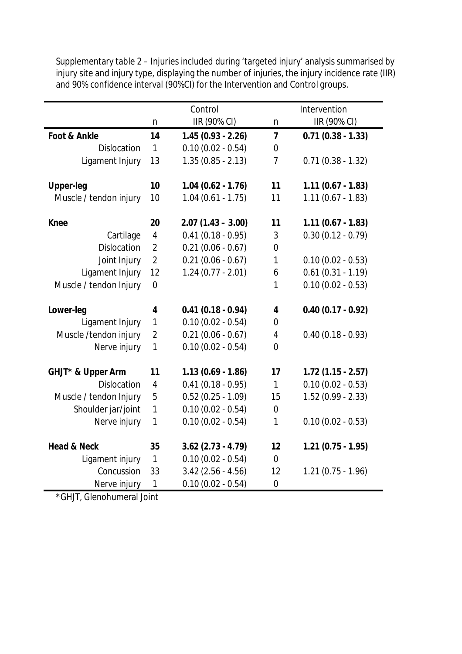Supplementary table 2 – Injuries included during 'targeted injury' analysis summarised by injury site and injury type, displaying the number of injuries, the injury incidence rate (IIR) and 90% confidence interval (90%CI) for the Intervention and Control groups.

|                        |                | Control              |                         | Intervention        |
|------------------------|----------------|----------------------|-------------------------|---------------------|
|                        | $\mathsf{n}$   | IIR (90% CI)         | $\mathsf{n}$            | IIR (90% CI)        |
| Foot & Ankle           | 14             | $1.45(0.93 - 2.26)$  | $\overline{7}$          | $0.71(0.38 - 1.33)$ |
| Dislocation            | $\mathbf{1}$   | $0.10(0.02 - 0.54)$  | 0                       |                     |
| Ligament Injury        | 13             | $1.35(0.85 - 2.13)$  | $\overline{7}$          | $0.71(0.38 - 1.32)$ |
| <b>Upper-leg</b>       | 10             | $1.04(0.62 - 1.76)$  | 11                      | $1.11(0.67 - 1.83)$ |
| Muscle / tendon injury | 10             | $1.04(0.61 - 1.75)$  | 11                      | $1.11(0.67 - 1.83)$ |
| <b>Knee</b>            | 20             | $2.07(1.43 - 3.00)$  | 11                      | $1.11(0.67 - 1.83)$ |
| Cartilage              | $\overline{4}$ | $0.41(0.18 - 0.95)$  | 3                       | $0.30(0.12 - 0.79)$ |
| Dislocation            | $\overline{2}$ | $0.21(0.06 - 0.67)$  | $\overline{0}$          |                     |
| Joint Injury           | $\overline{2}$ | $0.21(0.06 - 0.67)$  | 1                       | $0.10(0.02 - 0.53)$ |
| Ligament Injury        | 12             | $1.24(0.77 - 2.01)$  | 6                       | $0.61(0.31 - 1.19)$ |
| Muscle / tendon Injury | $\mathbf 0$    |                      | 1                       | $0.10(0.02 - 0.53)$ |
| Lower-leg              | 4              | $0.41(0.18 - 0.94)$  | $\overline{\mathbf{4}}$ | $0.40(0.17 - 0.92)$ |
| Ligament Injury        | 1              | $0.10(0.02 - 0.54)$  | $\overline{0}$          |                     |
| Muscle /tendon injury  | $\overline{2}$ | $0.21(0.06 - 0.67)$  | $\overline{4}$          | $0.40(0.18 - 0.93)$ |
| Nerve injury           | $\mathbf{1}$   | $0.10(0.02 - 0.54)$  | $\overline{0}$          |                     |
| GHJT* & Upper Arm      | 11             | $1.13(0.69 - 1.86)$  | 17                      | $1.72(1.15 - 2.57)$ |
| <b>Dislocation</b>     | 4              | $0.41(0.18 - 0.95)$  | $\mathbf{1}$            | $0.10(0.02 - 0.53)$ |
| Muscle / tendon Injury | 5              | $0.52(0.25 - 1.09)$  | 15                      | $1.52(0.99 - 2.33)$ |
| Shoulder jar/joint     | $\mathbf{1}$   | $0.10(0.02 - 0.54)$  | 0                       |                     |
| Nerve injury           | $\mathbf{1}$   | $0.10(0.02 - 0.54)$  | $\mathbf{1}$            | $0.10(0.02 - 0.53)$ |
| <b>Head &amp; Neck</b> | 35             | $3.62$ (2.73 - 4.79) | 12                      | $1.21(0.75 - 1.95)$ |
| Ligament injury        | $\mathbf{1}$   | $0.10(0.02 - 0.54)$  | $\overline{0}$          |                     |
| Concussion             | 33             | $3.42(2.56 - 4.56)$  | 12                      | $1.21(0.75 - 1.96)$ |
| Nerve injury           | $\mathbf{1}$   | $0.10(0.02 - 0.54)$  | $\boldsymbol{0}$        |                     |

\*GHJT, Glenohumeral Joint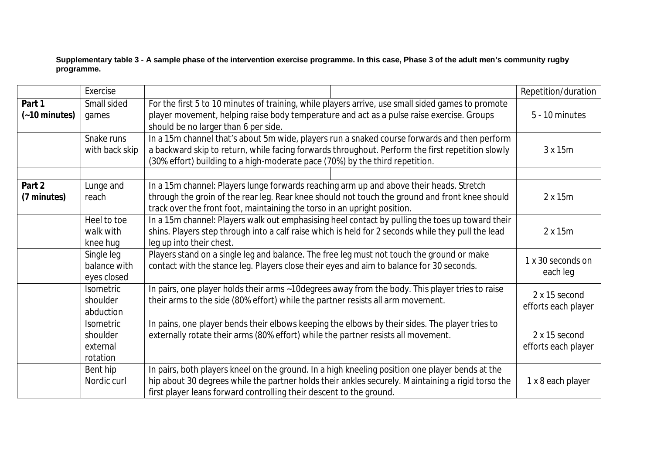**Supplementary table 3 - A sample phase of the intervention exercise programme. In this case, Phase 3 of the adult men's community rugby programme.**

|                         | Exercise                                             |                                                                                                                                                                                                                                                                                  | Repetition/duration                  |
|-------------------------|------------------------------------------------------|----------------------------------------------------------------------------------------------------------------------------------------------------------------------------------------------------------------------------------------------------------------------------------|--------------------------------------|
| Part 1<br>(~10 minutes) | Small sided<br>games                                 | For the first 5 to 10 minutes of training, while players arrive, use small sided games to promote<br>player movement, helping raise body temperature and act as a pulse raise exercise. Groups<br>should be no larger than 6 per side.                                           | 5 - 10 minutes                       |
|                         | Snake runs<br>with back skip                         | In a 15m channel that's about 5m wide, players run a snaked course forwards and then perform<br>a backward skip to return, while facing forwards throughout. Perform the first repetition slowly<br>(30% effort) building to a high-moderate pace (70%) by the third repetition. | 3 x 15m                              |
|                         |                                                      |                                                                                                                                                                                                                                                                                  |                                      |
| Part 2<br>(7 minutes)   | Lunge and<br>reach                                   | In a 15m channel: Players lunge forwards reaching arm up and above their heads. Stretch<br>through the groin of the rear leg. Rear knee should not touch the ground and front knee should<br>track over the front foot, maintaining the torso in an upright position.            | 2x15m                                |
|                         | Heel to toe<br>walk with<br>knee hug                 | In a 15m channel: Players walk out emphasising heel contact by pulling the toes up toward their<br>shins. Players step through into a calf raise which is held for 2 seconds while they pull the lead<br>leg up into their chest.                                                | 2 x 15m                              |
|                         | Single leg<br>balance with<br>eyes closed            | Players stand on a single leg and balance. The free leg must not touch the ground or make<br>contact with the stance leg. Players close their eyes and aim to balance for 30 seconds.                                                                                            | 1 x 30 seconds on<br>each leg        |
|                         | Isometric<br>shoulder<br>abduction                   | In pairs, one player holds their arms ~10degrees away from the body. This player tries to raise<br>their arms to the side (80% effort) while the partner resists all arm movement.                                                                                               | 2 x 15 second<br>efforts each player |
|                         | <b>Isometric</b><br>shoulder<br>external<br>rotation | In pains, one player bends their elbows keeping the elbows by their sides. The player tries to<br>externally rotate their arms (80% effort) while the partner resists all movement.                                                                                              | 2 x 15 second<br>efforts each player |
|                         | Bent hip<br>Nordic curl                              | In pairs, both players kneel on the ground. In a high kneeling position one player bends at the<br>hip about 30 degrees while the partner holds their ankles securely. Maintaining a rigid torso the<br>first player leans forward controlling their descent to the ground.      | 1 x 8 each player                    |